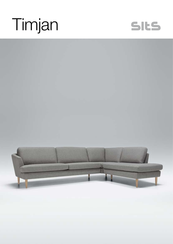## Timjan



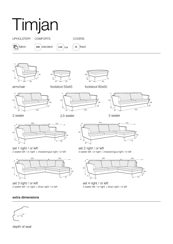

set 4 right / or left

3 seater left / or right + divan right / or left

- 
- set 3 right / or left 2 seater left / or right + divan right / or left

## extra dimensions



depth of seat